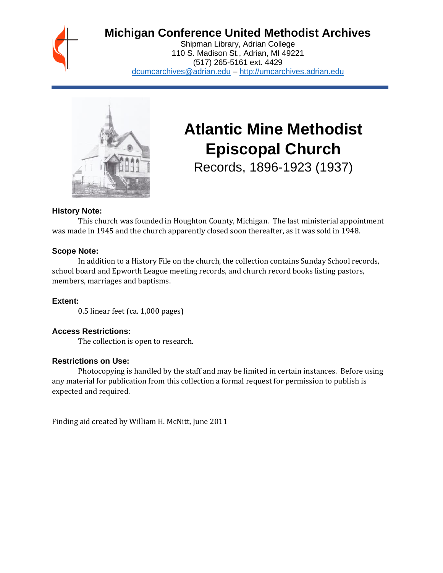

# **Michigan Conference United Methodist Archives**

Shipman Library, Adrian College 110 S. Madison St., Adrian, MI 49221 (517) 265-5161 ext. 4429 [dcumcarchives@adrian.edu](mailto:dcumcarchives@adrian.edu) – [http://umcarchives.adrian.edu](http://umcarchives.adrian.edu/)



# **Atlantic Mine Methodist Episcopal Church**

Records, 1896-1923 (1937)

# **History Note:**

This church was founded in Houghton County, Michigan. The last ministerial appointment was made in 1945 and the church apparently closed soon thereafter, as it was sold in 1948.

#### **Scope Note:**

In addition to a History File on the church, the collection contains Sunday School records, school board and Epworth League meeting records, and church record books listing pastors, members, marriages and baptisms.

# **Extent:**

0.5 linear feet (ca. 1,000 pages)

# **Access Restrictions:**

The collection is open to research.

#### **Restrictions on Use:**

Photocopying is handled by the staff and may be limited in certain instances. Before using any material for publication from this collection a formal request for permission to publish is expected and required.

Finding aid created by William H. McNitt, June 2011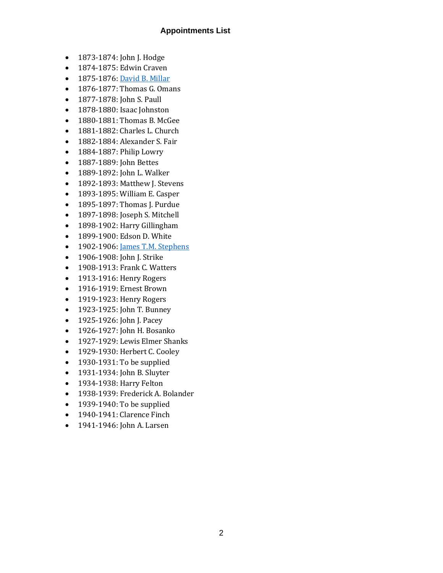#### **Appointments List**

- 1873-1874: John J. Hodge
- 1874-1875: Edwin Craven
- 1875-1876[: David B. Millar](http://umcarchives.adrian.edu/clergy/millardb.php)
- 1876-1877: Thomas G. Omans
- 1877-1878: John S. Paull
- 1878-1880: Isaac Johnston
- 1880-1881: Thomas B. McGee
- 1881-1882: Charles L. Church
- 1882-1884: Alexander S. Fair
- 1884-1887: Philip Lowry
- 1887-1889: John Bettes
- 1889-1892: John L. Walker
- 1892-1893: Matthew J. Stevens
- 1893-1895: William E. Casper
- 1895-1897: Thomas J. Purdue
- 1897-1898: Joseph S. Mitchell
- 1898-1902: Harry Gillingham
- 1899-1900: Edson D. White
- 1902-1906: <u>James T.M. Stephens</u>
- 1906-1908: John J. Strike
- 1908-1913: Frank C. Watters
- 1913-1916: Henry Rogers
- 1916-1919: Ernest Brown
- 1919-1923: Henry Rogers
- 1923-1925: John T. Bunney
- 1925-1926: John J. Pacey
- 1926-1927: John H. Bosanko
- 1927-1929: Lewis Elmer Shanks
- 1929-1930: Herbert C. Cooley
- 1930-1931: To be supplied
- 1931-1934: John B. Sluyter
- 1934-1938: Harry Felton
- 1938-1939: Frederick A. Bolander
- 1939-1940: To be supplied
- 1940-1941: Clarence Finch
- 1941-1946: John A. Larsen